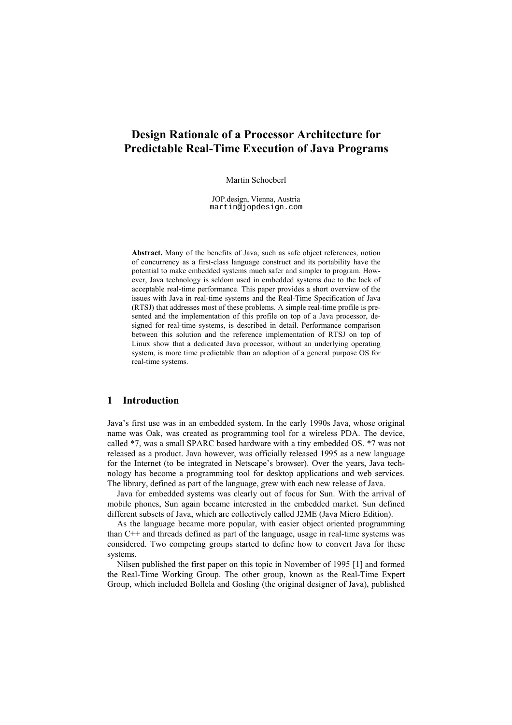# **Design Rationale of a Processor Architecture for Predictable Real-Time Execution of Java Programs**

Martin Schoeberl

JOP.design, Vienna, Austria martin@jopdesign.com

Abstract. Many of the benefits of Java, such as safe object references, notion of concurrency as a first-class language construct and its portability have the potential to make embedded systems much safer and simpler to program. However, Java technology is seldom used in embedded systems due to the lack of acceptable real-time performance. This paper provides a short overview of the issues with Java in real-time systems and the Real-Time Specification of Java (RTSJ) that addresses most of these problems. A simple real-time profile is presented and the implementation of this profile on top of a Java processor, designed for real-time systems, is described in detail. Performance comparison between this solution and the reference implementation of RTSJ on top of Linux show that a dedicated Java processor, without an underlying operating system, is more time predictable than an adoption of a general purpose OS for real-time systems.

# 1 Introduction

Java's first use was in an embedded system. In the early 1990s Java, whose original name was Oak, was created as programming tool for a wireless PDA. The device, called \*7, was a small SPARC based hardware with a tiny embedded OS. \*7 was not released as a product. Java however, was officially released 1995 as a new language for the Internet (to be integrated in Netscape's browser). Over the years, Java technology has become a programming tool for desktop applications and web services. The library, defined as part of the language, grew with each new release of Java.

Java for embedded systems was clearly out of focus for Sun. With the arrival of mobile phones, Sun again became interested in the embedded market. Sun defined different subsets of Java, which are collectively called J2ME (Java Micro Edition).

As the language became more popular, with easier object oriented programming than C<sup>++</sup> and threads defined as part of the language, usage in real-time systems was considered. Two competing groups started to define how to convert Java for these systems

Nilsen published the first paper on this topic in November of 1995 [1] and formed the Real-Time Working Group. The other group, known as the Real-Time Expert Group, which included Bollela and Gosling (the original designer of Java), published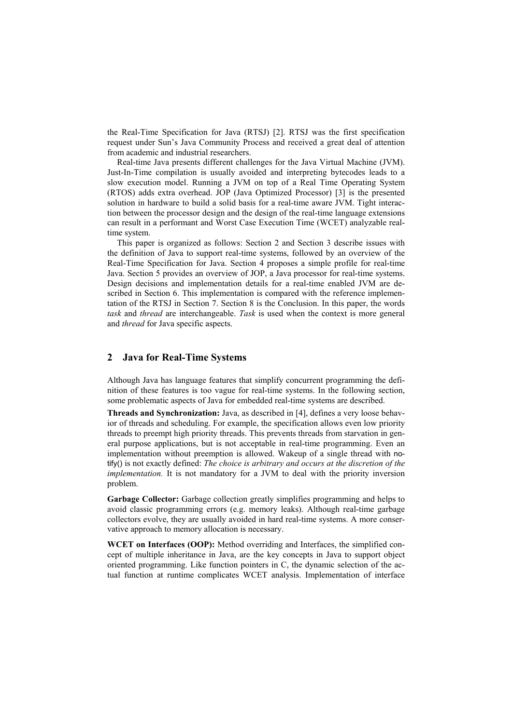the Real-Time Specification for Java (RTSJ) [2]. RTSJ was the first specification request under Sun's Java Community Process and received a great deal of attention from academic and industrial researchers.

Real-time Java presents different challenges for the Java Virtual Machine (JVM). Just-In-Time compilation is usually avoided and interpreting bytecodes leads to a slow execution model. Running a JVM on top of a Real Time Operating System (RTOS) adds extra overhead. JOP (Java Optimized Processor) [3] is the presented solution in hardware to build a solid basis for a real-time aware JVM. Tight interaction between the processor design and the design of the real-time language extensions can result in a performant and Worst Case Execution Time (WCET) analyzable realtime system.

This paper is organized as follows: Section 2 and Section 3 describe issues with the definition of Java to support real-time systems, followed by an overview of the Real-Time Specification for Java. Section 4 proposes a simple profile for real-time Java. Section 5 provides an overview of JOP, a Java processor for real-time systems. Design decisions and implementation details for a real-time enabled JVM are described in Section 6. This implementation is compared with the reference implementation of the RTSJ in Section 7. Section 8 is the Conclusion. In this paper, the words task and thread are interchangeable. Task is used when the context is more general and thread for Java specific aspects.

#### $\overline{2}$ **Java for Real-Time Systems**

Although Java has language features that simplify concurrent programming the definition of these features is too vague for real-time systems. In the following section, some problematic aspects of Java for embedded real-time systems are described.

**Threads and Synchronization:** Java, as described in [4], defines a very loose behavfor of threads and scheduling. For example, the specification allows even low priority threads to preempt high priority threads. This prevents threads from starvation in general purpose applications, but is not acceptable in real-time programming. Even an implementation without preemption is allowed. Wakeup of a single thread with notify() is not exactly defined: The choice is arbitrary and occurs at the discretion of the *implementation*. It is not mandatory for a JVM to deal with the priority inversion problem.

Garbage Collector: Garbage collection greatly simplifies programming and helps to avoid classic programming errors (e.g. memory leaks). Although real-time garbage collectors evolve, they are usually avoided in hard real-time systems. A more conservative approach to memory allocation is necessary.

WCET on Interfaces (OOP): Method overriding and Interfaces, the simplified concept of multiple inheritance in Java, are the key concepts in Java to support object oriented programming. Like function pointers in C, the dynamic selection of the actual function at runtime complicates WCET analysis. Implementation of interface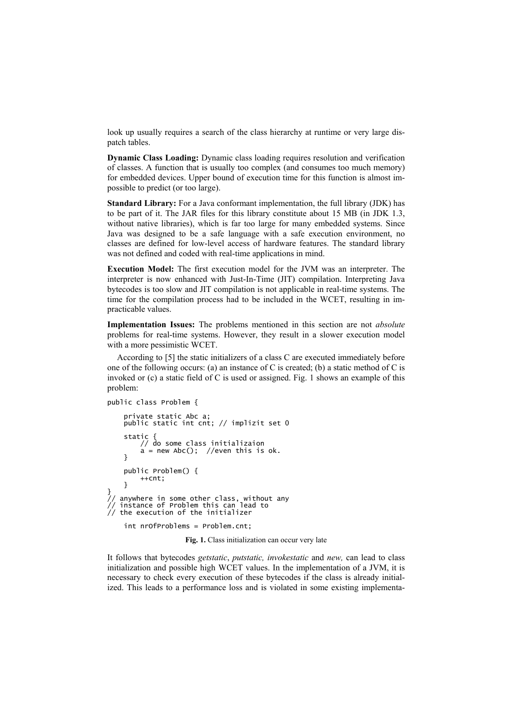look up usually requires a search of the class hierarchy at runtime or very large dispatch tables.

Dynamic Class Loading: Dynamic class loading requires resolution and verification of classes. A function that is usually too complex (and consumes too much memory) for embedded devices. Upper bound of execution time for this function is almost impossible to predict (or too large).

**Standard Library:** For a Java conformant implementation, the full library (JDK) has to be part of it. The JAR files for this library constitute about 15 MB (in JDK 1.3, without native libraries), which is far too large for many embedded systems. Since Java was designed to be a safe language with a safe execution environment, no classes are defined for low-level access of hardware features. The standard library was not defined and coded with real-time applications in mind.

Execution Model: The first execution model for the JVM was an interpreter. The interpreter is now enhanced with Just-In-Time (JIT) compilation. Interpreting Java bytecodes is too slow and JIT compilation is not applicable in real-time systems. The time for the compilation process had to be included in the WCET, resulting in impracticable values.

Implementation Issues: The problems mentioned in this section are not absolute problems for real-time systems. However, they result in a slower execution model with a more pessimistic WCET.

According to [5] the static initializers of a class C are executed immediately before one of the following occurs: (a) an instance of C is created; (b) a static method of C is invoked or (c) a static field of C is used or assigned. Fig. 1 shows an example of this problem:

```
public class Problem {
```

```
private static Abc a:
     public static int cnt; // implizit set 0
     static {<br>// do some class initializaion
           a = new Abc(); //even this is ok.
     ι
     public Problem() {
           ++cnt:ι
)/ anywhere in some other class, without any<br>// instance of Problem this can lead to<br>// the execution of the initializer
     int nrofProblems = Problem.cnt;
```
Fig. 1. Class initialization can occur very late

It follows that bytecodes *getstatic*, *putstatic*, *invokestatic* and *new*, can lead to class initialization and possible high WCET values. In the implementation of a JVM, it is necessary to check every execution of these bytecodes if the class is already initialized. This leads to a performance loss and is violated in some existing implementa-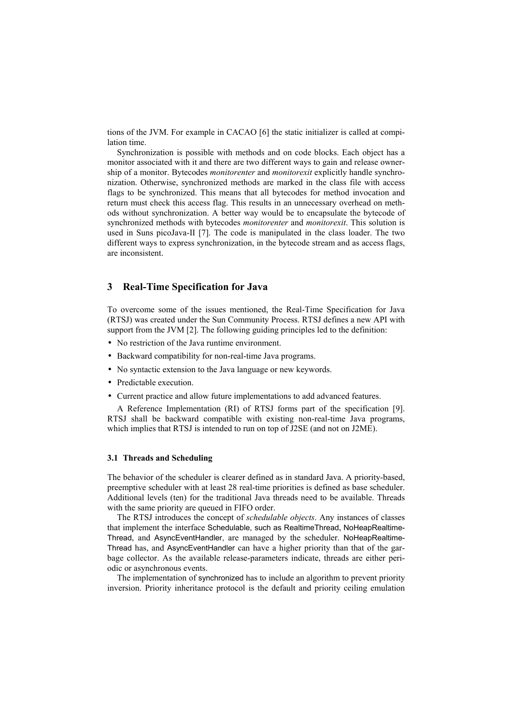tions of the JVM. For example in CACAO [6] the static initializer is called at compilation time.

Synchronization is possible with methods and on code blocks. Each object has a monitor associated with it and there are two different ways to gain and release ownership of a monitor. Bytecodes *monitorenter* and *monitorexit* explicitly handle synchronization. Otherwise, synchronized methods are marked in the class file with access flags to be synchronized. This means that all bytecodes for method invocation and return must check this access flag. This results in an unnecessary overhead on methods without synchronization. A better way would be to encapsulate the bytecode of synchronized methods with bytecodes *monitorenter* and *monitorexit*. This solution is used in Suns picoJava-II [7]. The code is manipulated in the class loader. The two different ways to express synchronization, in the bytecode stream and as access flags, are inconsistent

#### $\overline{3}$ **Real-Time Specification for Java**

To overcome some of the issues mentioned, the Real-Time Specification for Java (RTSJ) was created under the Sun Community Process. RTSJ defines a new API with support from the JVM [2]. The following guiding principles led to the definition:

- No restriction of the Java runtime environment.
- Backward compatibility for non-real-time Java programs.
- No syntactic extension to the Java language or new keywords.
- Predictable execution.
- Current practice and allow future implementations to add advanced features.

A Reference Implementation (RI) of RTSJ forms part of the specification [9]. RTSJ shall be backward compatible with existing non-real-time Java programs, which implies that RTSJ is intended to run on top of J2SE (and not on J2ME).

### 3.1 Threads and Scheduling

The behavior of the scheduler is clearer defined as in standard Java. A priority-based, preemptive scheduler with at least 28 real-time priorities is defined as base scheduler. Additional levels (ten) for the traditional Java threads need to be available. Threads with the same priority are queued in FIFO order.

The RTSJ introduces the concept of schedulable objects. Any instances of classes that implement the interface Schedulable, such as RealtimeThread, NoHeapRealtime-Thread, and AsyncEventHandler, are managed by the scheduler. NoHeapRealtime-Thread has, and AsyncEventHandler can have a higher priority than that of the garbage collector. As the available release-parameters indicate, threads are either periodic or asynchronous events.

The implementation of synchronized has to include an algorithm to prevent priority inversion. Priority inheritance protocol is the default and priority ceiling emulation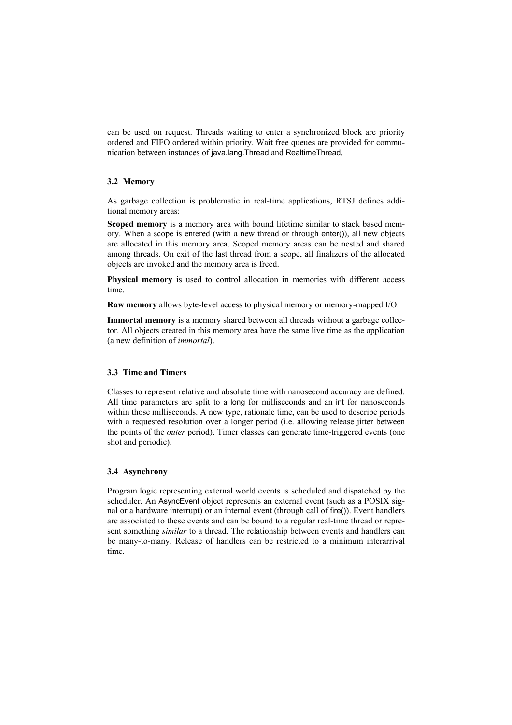can be used on request. Threads waiting to enter a synchronized block are priority ordered and FIFO ordered within priority. Wait free queues are provided for communication between instances of java.lang. Thread and Realtime Thread.

# 3.2 Memory

As garbage collection is problematic in real-time applications, RTSJ defines additional memory areas:

Scoped memory is a memory area with bound lifetime similar to stack based memory. When a scope is entered (with a new thread or through enter()), all new objects are allocated in this memory area. Scoped memory areas can be nested and shared among threads. On exit of the last thread from a scope, all finalizers of the allocated objects are invoked and the memory area is freed.

Physical memory is used to control allocation in memories with different access time.

Raw memory allows byte-level access to physical memory or memory-mapped I/O.

Immortal memory is a memory shared between all threads without a garbage collector. All objects created in this memory area have the same live time as the application (a new definition of *immortal*).

# 3.3 Time and Timers

Classes to represent relative and absolute time with nanosecond accuracy are defined. All time parameters are split to a long for milliseconds and an int for nanoseconds within those milliseconds. A new type, rationale time, can be used to describe periods with a requested resolution over a longer period (i.e. allowing release jitter between the points of the *outer* period). Timer classes can generate time-triggered events (one shot and periodic).

# 3.4 Asynchrony

Program logic representing external world events is scheduled and dispatched by the scheduler. An AsyncEvent object represents an external event (such as a POSIX signal or a hardware interrupt) or an internal event (through call of fire()). Event handlers are associated to these events and can be bound to a regular real-time thread or represent something *similar* to a thread. The relationship between events and handlers can be many-to-many. Release of handlers can be restricted to a minimum interarrival time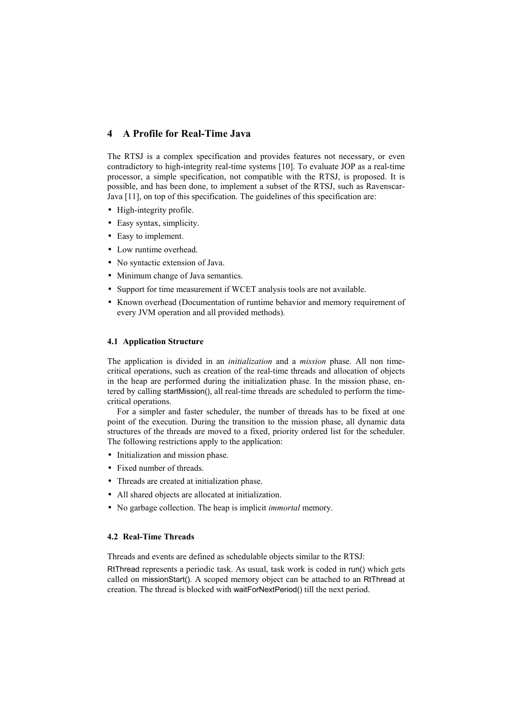#### A Profile for Real-Time Java  $\overline{4}$

The RTSJ is a complex specification and provides features not necessary, or even contradictory to high-integrity real-time systems [10]. To evaluate JOP as a real-time processor, a simple specification, not compatible with the RTSJ, is proposed. It is possible, and has been done, to implement a subset of the RTSJ, such as Ravenscar-Java [11], on top of this specification. The guidelines of this specification are:

- High-integrity profile.
- Easy syntax, simplicity.
- Easy to implement.
- Low runtime overhead.
- No syntactic extension of Java.
- Minimum change of Java semantics.
- Support for time measurement if WCET analysis tools are not available.
- Known overhead (Documentation of runtime behavior and memory requirement of every JVM operation and all provided methods).

### **4.1 Application Structure**

The application is divided in an *initialization* and a *mission* phase. All non timecritical operations, such as creation of the real-time threads and allocation of objects in the heap are performed during the initialization phase. In the mission phase, entered by calling startMission(), all real-time threads are scheduled to perform the timecritical operations.

For a simpler and faster scheduler, the number of threads has to be fixed at one point of the execution. During the transition to the mission phase, all dynamic data structures of the threads are moved to a fixed, priority ordered list for the scheduler. The following restrictions apply to the application:

- Initialization and mission phase.
- Fixed number of threads.
- Threads are created at initialization phase.
- All shared objects are allocated at initialization.
- No garbage collection. The heap is implicit *immortal* memory.

# **4.2 Real-Time Threads**

Threads and events are defined as schedulable objects similar to the RTSJ:

RtThread represents a periodic task. As usual, task work is coded in run() which gets called on missionStart(). A scoped memory object can be attached to an RtThread at creation. The thread is blocked with waitForNextPeriod() till the next period.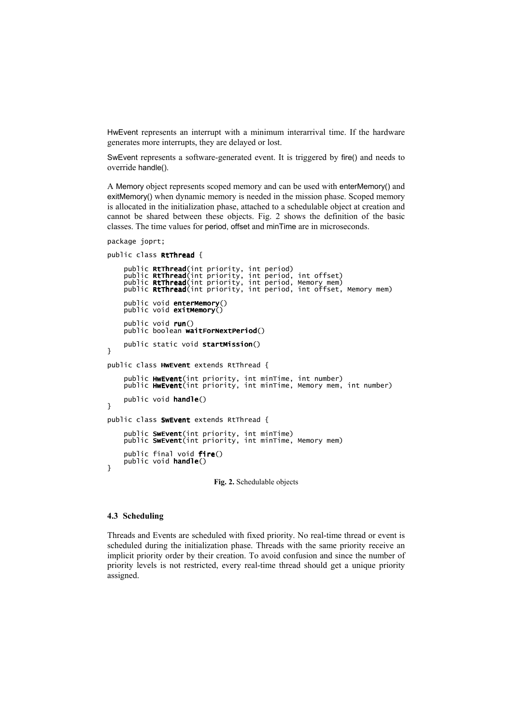HwEvent represents an interrupt with a minimum interarrival time. If the hardware generates more interrupts, they are delayed or lost.

SwEvent represents a software-generated event. It is triggered by fire() and needs to override handle().

A Memory object represents scoped memory and can be used with enterMemory() and exitMemory() when dynamic memory is needed in the mission phase. Scoped memory is allocated in the initialization phase, attached to a schedulable object at creation and cannot be shared between these objects. Fig. 2 shows the definition of the basic classes. The time values for period, offset and minTime are in microseconds.

```
package joprt;
```

```
public class RtThread {
```

```
public RtThread(int priority, int period)<br>public RtThread(int priority, int period, int offset)<br>public RtThread(int priority, int period, Memory mem)<br>public RtThread(int priority, int period, int offset, Memory mem
      public void enterMemory()
      public void exitMemory()
      public void run()
      public boolean waitForNextPeriod()
      public static void startMission()
ŀ
public class HwEvent extends RtThread {
     public HwEvent(int priority, int minTime, int number)<br>public HwEvent(int priority, int minTime, Memory mem, int number)
      public void handle()
ι
public class SwEvent extends RtThread {
      public SwEvent(int priority, int minTime)<br>public SwEvent(int priority, int minTime, Memory mem)
      public final void fire()
      public void handle()
ł
```
Fig. 2. Schedulable objects

### 4.3 Scheduling

Threads and Events are scheduled with fixed priority. No real-time thread or event is scheduled during the initialization phase. Threads with the same priority receive an implicit priority order by their creation. To avoid confusion and since the number of priority levels is not restricted, every real-time thread should get a unique priority assigned.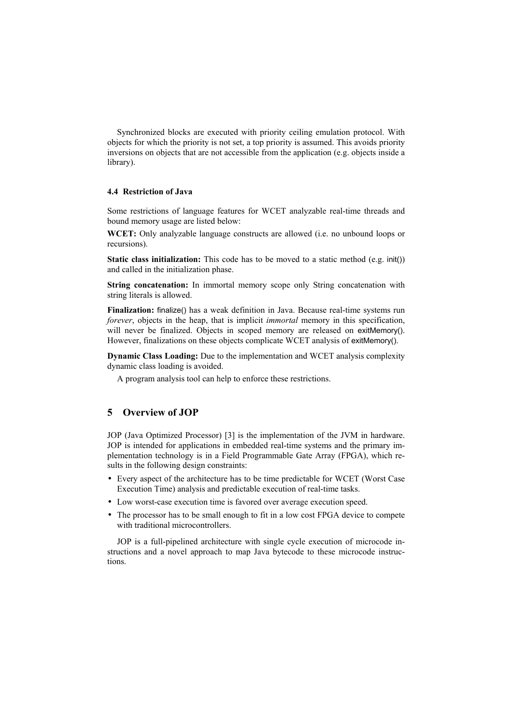Synchronized blocks are executed with priority ceiling emulation protocol. With objects for which the priority is not set, a top priority is assumed. This avoids priority inversions on objects that are not accessible from the application (e.g. objects inside a library).

# 4.4 Restriction of Java

Some restrictions of language features for WCET analyzable real-time threads and bound memory usage are listed below:

WCET: Only analyzable language constructs are allowed (i.e. no unbound loops or recursions).

Static class initialization: This code has to be moved to a static method (e.g. init()) and called in the initialization phase.

String concatenation: In immortal memory scope only String concatenation with string literals is allowed.

Finalization: finalize() has a weak definition in Java. Because real-time systems run forever, objects in the heap, that is implicit *immortal* memory in this specification, will never be finalized. Objects in scoped memory are released on exitMemory(). However, finalizations on these objects complicate WCET analysis of exitMemory().

Dynamic Class Loading: Due to the implementation and WCET analysis complexity dynamic class loading is avoided.

A program analysis tool can help to enforce these restrictions.

#### **Overview of JOP**  $\overline{5}$

JOP (Java Optimized Processor) [3] is the implementation of the JVM in hardware. JOP is intended for applications in embedded real-time systems and the primary implementation technology is in a Field Programmable Gate Array (FPGA), which results in the following design constraints:

- Every aspect of the architecture has to be time predictable for WCET (Worst Case Execution Time) analysis and predictable execution of real-time tasks.
- Low worst-case execution time is favored over average execution speed.
- The processor has to be small enough to fit in a low cost FPGA device to compete with traditional microcontrollers.

JOP is a full-pipelined architecture with single cycle execution of microcode instructions and a novel approach to map Java bytecode to these microcode instructions.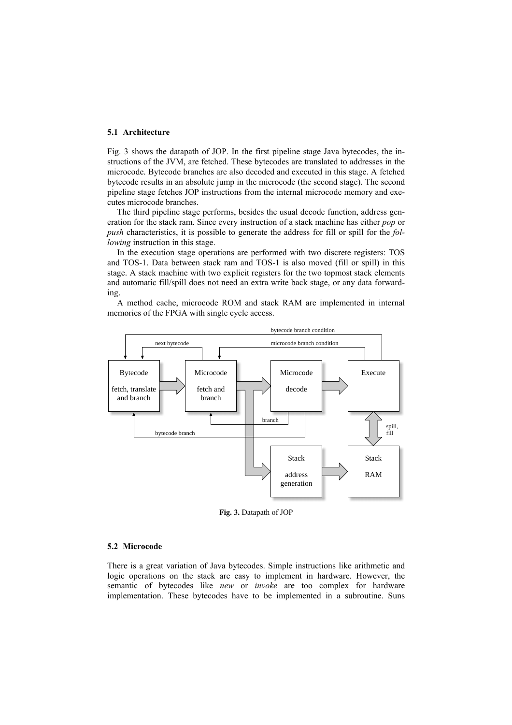### 5.1 Architecture

Fig. 3 shows the datapath of JOP. In the first pipeline stage Java bytecodes, the instructions of the JVM, are fetched. These bytecodes are translated to addresses in the microcode. Bytecode branches are also decoded and executed in this stage. A fetched bytecode results in an absolute jump in the microcode (the second stage). The second pipeline stage fetches JOP instructions from the internal microcode memory and executes microcode branches.

The third pipeline stage performs, besides the usual decode function, address generation for the stack ram. Since every instruction of a stack machine has either *pop* or *push* characteristics, it is possible to generate the address for fill or spill for the following instruction in this stage.

In the execution stage operations are performed with two discrete registers: TOS and TOS-1. Data between stack ram and TOS-1 is also moved (fill or spill) in this stage. A stack machine with two explicit registers for the two topmost stack elements and automatic fill/spill does not need an extra write back stage, or any data forwarding.

A method cache, microcode ROM and stack RAM are implemented in internal memories of the FPGA with single cycle access.



Fig. 3. Datapath of JOP

#### 5.2 Microcode

There is a great variation of Java bytecodes. Simple instructions like arithmetic and logic operations on the stack are easy to implement in hardware. However, the semantic of bytecodes like new or invoke are too complex for hardware implementation. These bytecodes have to be implemented in a subroutine. Suns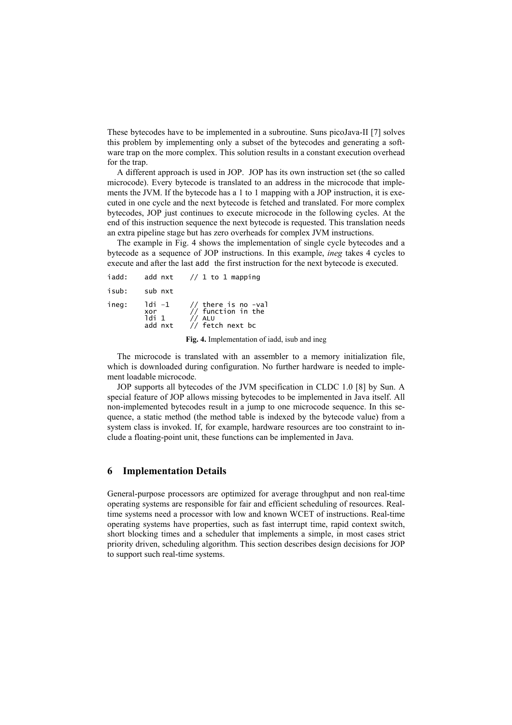These bytecodes have to be implemented in a subroutine. Suns picoJava-II [7] solves this problem by implementing only a subset of the bytecodes and generating a software trap on the more complex. This solution results in a constant execution overhead for the trap.

A different approach is used in JOP. JOP has its own instruction set (the so called microcode). Every bytecode is translated to an address in the microcode that implements the JVM. If the bytecode has a 1 to 1 mapping with a JOP instruction, it is executed in one cycle and the next bytecode is fetched and translated. For more complex bytecodes, JOP just continues to execute microcode in the following cycles. At the end of this instruction sequence the next bytecode is requested. This translation needs an extra pipeline stage but has zero overheads for complex JVM instructions.

The example in Fig. 4 shows the implementation of single cycle bytecodes and a bytecode as a sequence of JOP instructions. In this example, *ineg* takes 4 cycles to execute and after the last add the first instruction for the next bytecode is executed.

| iadd: | add nxt                           | // 1 to 1 mapping                                                         |
|-------|-----------------------------------|---------------------------------------------------------------------------|
| isub: | sub nxt                           |                                                                           |
| ineg: | 1di -1<br>xor<br>ldi 1<br>add nxt | // there is no -val<br>// function in the<br>$//$ ALU<br>// fetch next bc |

Fig. 4. Implementation of iadd, is ub and ineg

The microcode is translated with an assembler to a memory initialization file. which is downloaded during configuration. No further hardware is needed to implement loadable microcode.

JOP supports all bytecodes of the JVM specification in CLDC 1.0 [8] by Sun. A special feature of JOP allows missing bytecodes to be implemented in Java itself. All non-implemented bytecodes result in a jump to one microcode sequence. In this sequence, a static method (the method table is indexed by the bytecode value) from a system class is invoked. If, for example, hardware resources are too constraint to include a floating-point unit, these functions can be implemented in Java.

#### **Implementation Details** 6

General-purpose processors are optimized for average throughput and non real-time operating systems are responsible for fair and efficient scheduling of resources. Realtime systems need a processor with low and known WCET of instructions. Real-time operating systems have properties, such as fast interrupt time, rapid context switch, short blocking times and a scheduler that implements a simple, in most cases strict priority driven, scheduling algorithm. This section describes design decisions for JOP to support such real-time systems.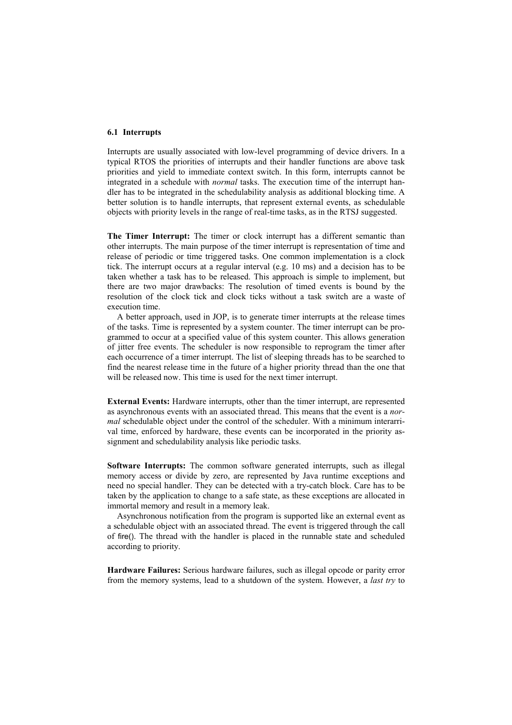### 6.1 Interrupts

Interrupts are usually associated with low-level programming of device drivers. In a typical RTOS the priorities of interrupts and their handler functions are above task priorities and yield to immediate context switch. In this form, interrupts cannot be integrated in a schedule with *normal* tasks. The execution time of the interrupt handler has to be integrated in the schedulability analysis as additional blocking time. A better solution is to handle interrupts, that represent external events, as schedulable objects with priority levels in the range of real-time tasks, as in the RTSJ suggested.

The Timer Interrupt: The timer or clock interrupt has a different semantic than other interrupts. The main purpose of the timer interrupt is representation of time and release of periodic or time triggered tasks. One common implementation is a clock tick. The interrupt occurs at a regular interval (e.g. 10 ms) and a decision has to be taken whether a task has to be released. This approach is simple to implement, but there are two major drawbacks: The resolution of timed events is bound by the resolution of the clock tick and clock ticks without a task switch are a waste of execution time

A better approach, used in JOP, is to generate timer interrupts at the release times of the tasks. Time is represented by a system counter. The timer interrupt can be programmed to occur at a specified value of this system counter. This allows generation of jitter free events. The scheduler is now responsible to reprogram the timer after each occurrence of a timer interrupt. The list of sleeping threads has to be searched to find the nearest release time in the future of a higher priority thread than the one that will be released now. This time is used for the next timer interrupt.

**External Events:** Hardware interrupts, other than the timer interrupt, are represented as asynchronous events with an associated thread. This means that the event is a *nor*mal schedulable object under the control of the scheduler. With a minimum interarrival time, enforced by hardware, these events can be incorporated in the priority assignment and schedulability analysis like periodic tasks.

Software Interrupts: The common software generated interrupts, such as illegal memory access or divide by zero, are represented by Java runtime exceptions and need no special handler. They can be detected with a try-catch block. Care has to be taken by the application to change to a safe state, as these exceptions are allocated in immortal memory and result in a memory leak.

Asynchronous notification from the program is supported like an external event as a schedulable object with an associated thread. The event is triggered through the call of fire(). The thread with the handler is placed in the runnable state and scheduled according to priority.

Hardware Failures: Serious hardware failures, such as illegal opcode or parity error from the memory systems, lead to a shutdown of the system. However, a *last try* to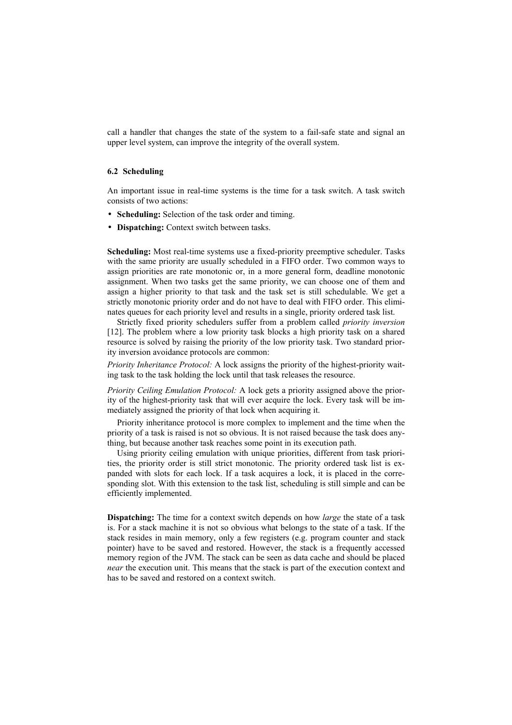call a handler that changes the state of the system to a fail-safe state and signal an upper level system, can improve the integrity of the overall system.

### 6.2 Scheduling

An important issue in real-time systems is the time for a task switch. A task switch consists of two actions:

- Scheduling: Selection of the task order and timing.
- Dispatching: Context switch between tasks.

Scheduling: Most real-time systems use a fixed-priority preemptive scheduler. Tasks with the same priority are usually scheduled in a FIFO order. Two common ways to assign priorities are rate monotonic or, in a more general form, deadline monotonic assignment. When two tasks get the same priority, we can choose one of them and assign a higher priority to that task and the task set is still schedulable. We get a strictly monotonic priority order and do not have to deal with FIFO order. This eliminates queues for each priority level and results in a single, priority ordered task list.

Strictly fixed priority schedulers suffer from a problem called *priority inversion* [12]. The problem where a low priority task blocks a high priority task on a shared resource is solved by raising the priority of the low priority task. Two standard priority inversion avoidance protocols are common:

Priority Inheritance Protocol: A lock assigns the priority of the highest-priority waiting task to the task holding the lock until that task releases the resource.

Priority Ceiling Emulation Protocol: A lock gets a priority assigned above the priority of the highest-priority task that will ever acquire the lock. Every task will be immediately assigned the priority of that lock when acquiring it.

Priority inheritance protocol is more complex to implement and the time when the priority of a task is raised is not so obvious. It is not raised because the task does anything, but because another task reaches some point in its execution path.

Using priority ceiling emulation with unique priorities, different from task priorities, the priority order is still strict monotonic. The priority ordered task list is expanded with slots for each lock. If a task acquires a lock, it is placed in the corresponding slot. With this extension to the task list, scheduling is still simple and can be efficiently implemented.

**Dispatching:** The time for a context switch depends on how *large* the state of a task is. For a stack machine it is not so obvious what belongs to the state of a task. If the stack resides in main memory, only a few registers (e.g. program counter and stack pointer) have to be saved and restored. However, the stack is a frequently accessed memory region of the JVM. The stack can be seen as data cache and should be placed *near* the execution unit. This means that the stack is part of the execution context and has to be saved and restored on a context switch.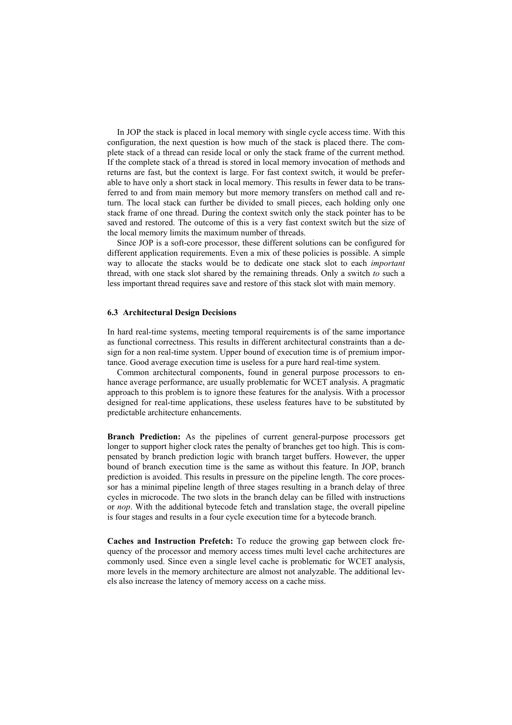In JOP the stack is placed in local memory with single cycle access time. With this configuration, the next question is how much of the stack is placed there. The complete stack of a thread can reside local or only the stack frame of the current method. If the complete stack of a thread is stored in local memory invocation of methods and returns are fast, but the context is large. For fast context switch, it would be preferable to have only a short stack in local memory. This results in fewer data to be transferred to and from main memory but more memory transfers on method call and return. The local stack can further be divided to small pieces, each holding only one stack frame of one thread. During the context switch only the stack pointer has to be saved and restored. The outcome of this is a very fast context switch but the size of the local memory limits the maximum number of threads.

Since JOP is a soft-core processor, these different solutions can be configured for different application requirements. Even a mix of these policies is possible. A simple way to allocate the stacks would be to dedicate one stack slot to each *important* thread, with one stack slot shared by the remaining threads. Only a switch to such a less important thread requires save and restore of this stack slot with main memory.

### **6.3 Architectural Design Decisions**

In hard real-time systems, meeting temporal requirements is of the same importance as functional correctness. This results in different architectural constraints than a design for a non real-time system. Upper bound of execution time is of premium importance. Good average execution time is useless for a pure hard real-time system.

Common architectural components, found in general purpose processors to enhance average performance, are usually problematic for WCET analysis. A pragmatic approach to this problem is to ignore these features for the analysis. With a processor designed for real-time applications, these useless features have to be substituted by predictable architecture enhancements.

Branch Prediction: As the pipelines of current general-purpose processors get longer to support higher clock rates the penalty of branches get too high. This is compensated by branch prediction logic with branch target buffers. However, the upper bound of branch execution time is the same as without this feature. In JOP, branch prediction is avoided. This results in pressure on the pipeline length. The core processor has a minimal pipeline length of three stages resulting in a branch delay of three cycles in microcode. The two slots in the branch delay can be filled with instructions or *nop*. With the additional bytecode fetch and translation stage, the overall pipeline is four stages and results in a four cycle execution time for a bytecode branch.

Caches and Instruction Prefetch: To reduce the growing gap between clock frequency of the processor and memory access times multi level cache architectures are commonly used. Since even a single level cache is problematic for WCET analysis, more levels in the memory architecture are almost not analyzable. The additional levels also increase the latency of memory access on a cache miss.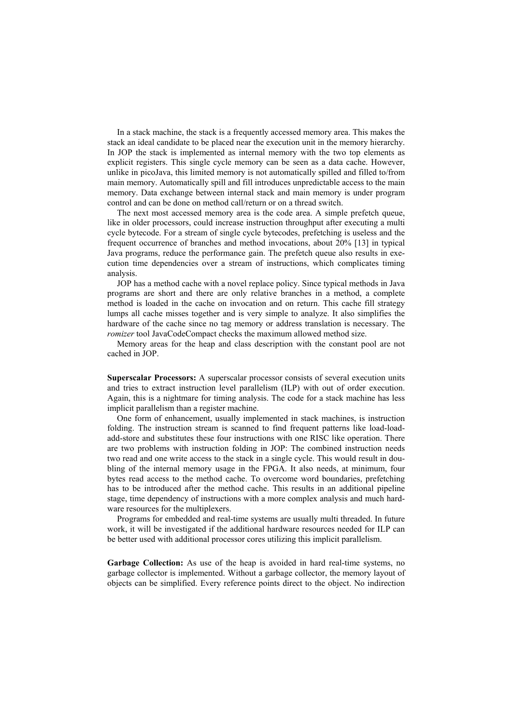In a stack machine, the stack is a frequently accessed memory area. This makes the stack an ideal candidate to be placed near the execution unit in the memory hierarchy. In JOP the stack is implemented as internal memory with the two top elements as explicit registers. This single cycle memory can be seen as a data cache. However, unlike in picoJava, this limited memory is not automatically spilled and filled to/from main memory. Automatically spill and fill introduces unpredictable access to the main memory. Data exchange between internal stack and main memory is under program control and can be done on method call/return or on a thread switch.

The next most accessed memory area is the code area. A simple prefetch queue, like in older processors, could increase instruction throughput after executing a multi cycle bytecode. For a stream of single cycle bytecodes, prefetching is useless and the frequent occurrence of branches and method invocations, about 20% [13] in typical Java programs, reduce the performance gain. The prefetch queue also results in execution time dependencies over a stream of instructions, which complicates timing analysis.

JOP has a method cache with a novel replace policy. Since typical methods in Java programs are short and there are only relative branches in a method, a complete method is loaded in the cache on invocation and on return. This cache fill strategy lumps all cache misses together and is very simple to analyze. It also simplifies the hardware of the cache since no tag memory or address translation is necessary. The romizer tool JavaCodeCompact checks the maximum allowed method size.

Memory areas for the heap and class description with the constant pool are not cached in JOP.

Superscalar Processors: A superscalar processor consists of several execution units and tries to extract instruction level parallelism (ILP) with out of order execution. Again, this is a nightmare for timing analysis. The code for a stack machine has less implicit parallelism than a register machine.

One form of enhancement, usually implemented in stack machines, is instruction folding. The instruction stream is scanned to find frequent patterns like load-loadadd-store and substitutes these four instructions with one RISC like operation. There are two problems with instruction folding in JOP: The combined instruction needs two read and one write access to the stack in a single cycle. This would result in doubling of the internal memory usage in the FPGA. It also needs, at minimum, four bytes read access to the method cache. To overcome word boundaries, prefetching has to be introduced after the method cache. This results in an additional pipeline stage, time dependency of instructions with a more complex analysis and much hardware resources for the multiplexers.

Programs for embedded and real-time systems are usually multi threaded. In future work, it will be investigated if the additional hardware resources needed for ILP can be better used with additional processor cores utilizing this implicit parallelism.

Garbage Collection: As use of the heap is avoided in hard real-time systems, no garbage collector is implemented. Without a garbage collector, the memory layout of objects can be simplified. Every reference points direct to the object. No indirection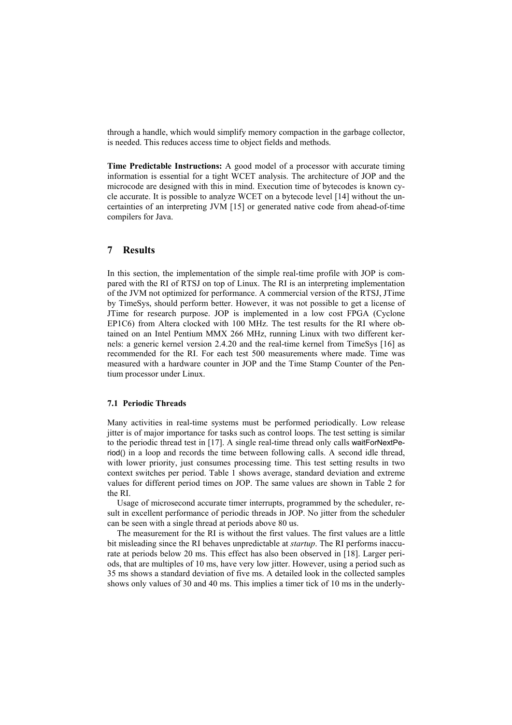through a handle, which would simplify memory compaction in the garbage collector, is needed. This reduces access time to object fields and methods.

**Time Predictable Instructions:** A good model of a processor with accurate timing information is essential for a tight WCET analysis. The architecture of JOP and the microcode are designed with this in mind. Execution time of bytecodes is known cycle accurate. It is possible to analyze WCET on a bytecode level [14] without the uncertainties of an interpreting JVM [15] or generated native code from ahead-of-time compilers for Java.

#### $\overline{7}$ **Results**

In this section, the implementation of the simple real-time profile with JOP is compared with the RI of RTSJ on top of Linux. The RI is an interpreting implementation of the JVM not optimized for performance. A commercial version of the RTSJ, JTime by TimeSys, should perform better. However, it was not possible to get a license of JTime for research purpose. JOP is implemented in a low cost FPGA (Cyclone EP1C6) from Altera clocked with 100 MHz. The test results for the RI where obtained on an Intel Pentium MMX 266 MHz, running Linux with two different kernels: a generic kernel version 2.4.20 and the real-time kernel from TimeSys [16] as recommended for the RI. For each test 500 measurements where made. Time was measured with a hardware counter in JOP and the Time Stamp Counter of the Pentium processor under Linux.

### **7.1 Periodic Threads**

Many activities in real-time systems must be performed periodically. Low release jitter is of major importance for tasks such as control loops. The test setting is similar to the periodic thread test in [17]. A single real-time thread only calls waitForNextPeriod() in a loop and records the time between following calls. A second idle thread, with lower priority, just consumes processing time. This test setting results in two context switches per period. Table 1 shows average, standard deviation and extreme values for different period times on JOP. The same values are shown in Table 2 for the RI

Usage of microsecond accurate timer interrupts, programmed by the scheduler, result in excellent performance of periodic threads in JOP. No jitter from the scheduler can be seen with a single thread at periods above 80 us.

The measurement for the RI is without the first values. The first values are a little bit misleading since the RI behaves unpredictable at *startup*. The RI performs inaccurate at periods below 20 ms. This effect has also been observed in [18]. Larger periods, that are multiples of 10 ms, have very low jitter. However, using a period such as 35 ms shows a standard deviation of five ms. A detailed look in the collected samples shows only values of 30 and 40 ms. This implies a timer tick of 10 ms in the underly-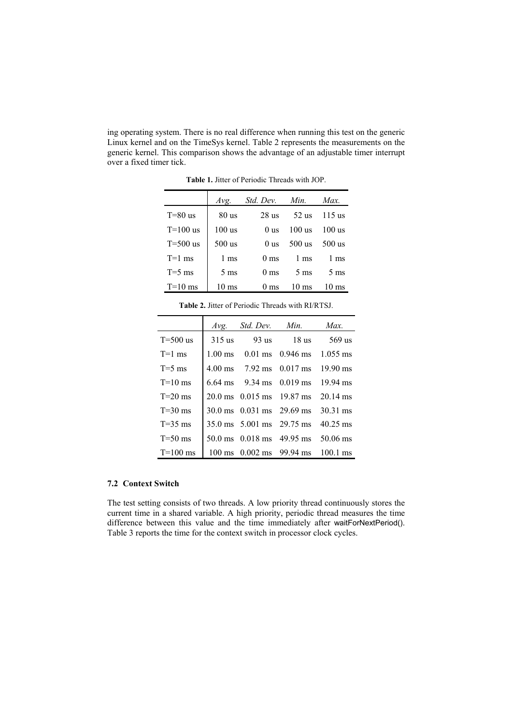ing operating system. There is no real difference when running this test on the generic Linux kernel and on the TimeSys kernel. Table 2 represents the measurements on the generic kernel. This comparison shows the advantage of an adjustable timer interrupt over a fixed timer tick.

|            | Avg.             | Std. Dev. Min.  |                 | Max.            |
|------------|------------------|-----------------|-----------------|-----------------|
| $T=80$ us  | 80 <sub>us</sub> | 28 us           | 52 us           | $115$ us        |
| $T=100$ us | $100$ us         | 0 <sub>us</sub> | $100$ us        | $100$ us        |
| $T=500$ us | $500$ us         | 0 us            | 500 us          | $500$ us        |
| $T=1$ ms   | $1 \text{ ms}$   | 0 <sub>ms</sub> | $1 \text{ ms}$  | $1 \text{ ms}$  |
| $T=5$ ms   | $5 \text{ ms}$   | $0 \text{ ms}$  | $5 \text{ ms}$  | $5 \text{ ms}$  |
| $T=10$ ms  | 10 ms            | $0 \text{ ms}$  | $10 \text{ ms}$ | $10 \text{ ms}$ |

Table 1. Jitter of Periodic Threads with JOP

|              | Avg.     | <i>Std. Dev. Min.</i>                                   | Max.     |
|--------------|----------|---------------------------------------------------------|----------|
| $T = 500$ us | $315$ us | 93 us 18 us                                             | 569 us   |
| $T=1$ ms     |          | $1.00 \text{ ms}$ 0.01 ms 0.946 ms 1.055 ms             |          |
| $T=5$ ms     |          | 4.00 ms 7.92 ms 0.017 ms 19.90 ms                       |          |
| $T=10$ ms    |          | $6.64 \text{ ms}$ 9.34 ms 0.019 ms 19.94 ms             |          |
| $T=20$ ms    |          | 20.0 ms 0.015 ms 19.87 ms 20.14 ms                      |          |
| $T=30$ ms    |          | $30.0 \text{ ms}$ $0.031 \text{ ms}$ $29.69 \text{ ms}$ | 30.31 ms |
| $T=35$ ms    |          | 35.0 ms 5.001 ms 29.75 ms 40.25 ms                      |          |
| $T=50$ ms    |          | 50.0 ms 0.018 ms 49.95 ms 50.06 ms                      |          |
| $T=100$ ms   |          | $100 \text{ ms}$ 0.002 ms 99.94 ms 100.1 ms             |          |

# 7.2 Context Switch

The test setting consists of two threads. A low priority thread continuously stores the current time in a shared variable. A high priority, periodic thread measures the time difference between this value and the time immediately after waitForNextPeriod(). Table 3 reports the time for the context switch in processor clock cycles.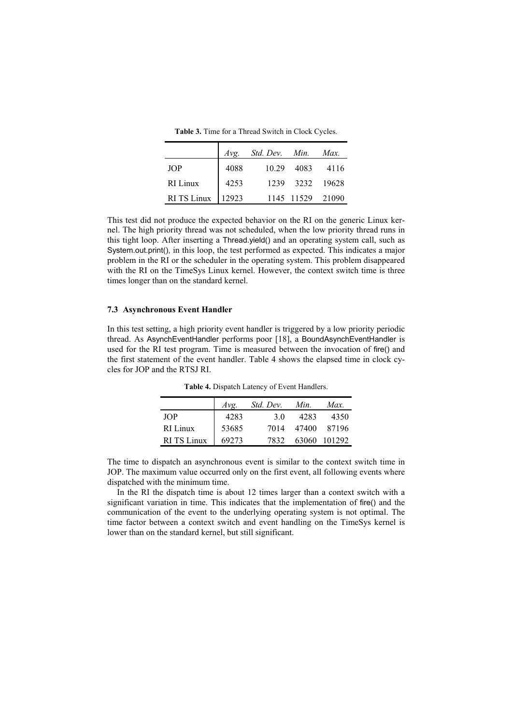Table 3. Time for a Thread Switch in Clock Cycles.

|                    |       | Avg. Std. Dev. Min. Max. |                  |                 |
|--------------------|-------|--------------------------|------------------|-----------------|
| <b>JOP</b>         | 4088  | 10.29                    | 4083             | 4116            |
| RI Linux           | 4253  |                          |                  | 1239 3232 19628 |
| <b>RI TS Linux</b> | 12923 |                          | 1145 11529 21090 |                 |

This test did not produce the expected behavior on the RI on the generic Linux kernel. The high priority thread was not scheduled, when the low priority thread runs in this tight loop. After inserting a Thread yield() and an operating system call, such as System.out.print(), in this loop, the test performed as expected. This indicates a major problem in the RI or the scheduler in the operating system. This problem disappeared with the RI on the TimeSys Linux kernel. However, the context switch time is three times longer than on the standard kernel.

# 7.3 Asynchronous Event Handler

In this test setting, a high priority event handler is triggered by a low priority periodic thread. As AsynchEventHandler performs poor [18], a BoundAsynchEventHandler is used for the RI test program. Time is measured between the invocation of fire() and the first statement of the event handler. Table 4 shows the elapsed time in clock cycles for JOP and the RTSJ RI.

|                   | $Av\mathfrak{e}$ . | Std. Dev. | Min. | Max.         |
|-------------------|--------------------|-----------|------|--------------|
| JOP.              | 4283               | 3 O       | 4283 | 4350         |
| RI Linux          | 53685              | 7014      |      | 47400 87196  |
| <b>RITS</b> Linux | 69273              | 7832      |      | 63060 101292 |

Table 4. Dispatch Latency of Event Handlers.

The time to dispatch an asynchronous event is similar to the context switch time in JOP. The maximum value occurred only on the first event, all following events where dispatched with the minimum time.

In the RI the dispatch time is about 12 times larger than a context switch with a significant variation in time. This indicates that the implementation of fire() and the communication of the event to the underlying operating system is not optimal. The time factor between a context switch and event handling on the TimeSys kernel is lower than on the standard kernel, but still significant.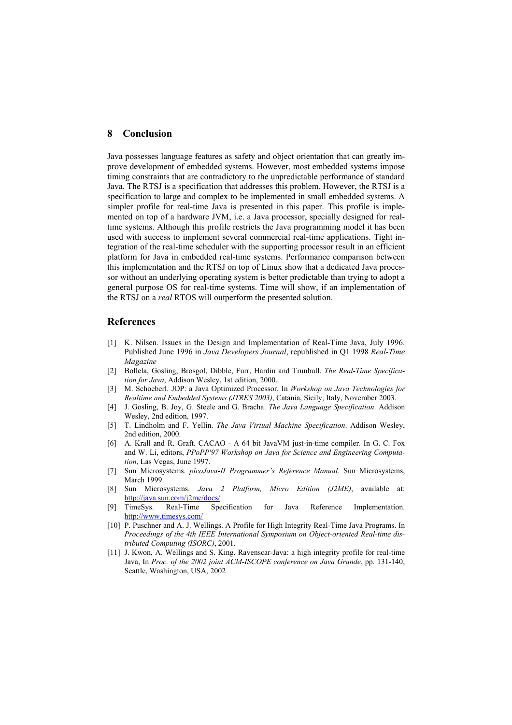#### 8 Conclusion

Java possesses language features as safety and object orientation that can greatly improve development of embedded systems. However, most embedded systems impose timing constraints that are contradictory to the unpredictable performance of standard Java. The RTSJ is a specification that addresses this problem. However, the RTSJ is a specification to large and complex to be implemented in small embedded systems. A simpler profile for real-time Java is presented in this paper. This profile is implemented on top of a hardware JVM, i.e. a Java processor, specially designed for realtime systems. Although this profile restricts the Java programming model it has been used with success to implement several commercial real-time applications. Tight integration of the real-time scheduler with the supporting processor result in an efficient platform for Java in embedded real-time systems. Performance comparison between this implementation and the RTSJ on top of Linux show that a dedicated Java processor without an underlying operating system is better predictable than trying to adopt a general purpose OS for real-time systems. Time will show, if an implementation of the RTSJ on a *real* RTOS will outperform the presented solution.

# **References**

- [1] K. Nilsen. Issues in the Design and Implementation of Real-Time Java, July 1996. Published June 1996 in Java Developers Journal, republished in Q1 1998 Real-Time Magazine
- [2] Bollela, Gosling, Brosgol, Dibble, Furr, Hardin and Trunbull. The Real-Time Specification for Java, Addison Wesley, 1st edition, 2000.
- [3] M. Schoeberl. JOP: a Java Optimized Processor. In Workshop on Java Technologies for Realtime and Embedded Systems (JTRES 2003), Catania, Sicily, Italy, November 2003.
- [4] J. Gosling, B. Joy, G. Steele and G. Bracha. The Java Language Specification. Addison Wesley, 2nd edition, 1997.
- T. Lindholm and F. Yellin. The Java Virtual Machine Specification. Addison Wesley,  $\lceil 5 \rceil$ 2nd edition, 2000.
- [6] A. Krall and R. Graft. CACAO A 64 bit JavaVM just-in-time compiler. In G. C. Fox and W. Li, editors, PPoPP'97 Workshop on Java for Science and Engineering Computation, Las Vegas, June 1997.
- Sun Microsystems. picoJava-II Programmer's Reference Manual. Sun Microsystems,  $\sqrt{71}$ **March 1999.**
- Sun Microsystems. Java 2 Platform, Micro Edition (J2ME), available at: [8] http://java.sun.com/j2me/docs/
- [9] TimeSvs. Real-Time Specification for Java Reference Implementation. http://www.timesys.com/
- [10] P. Puschner and A. J. Wellings. A Profile for High Integrity Real-Time Java Programs. In Proceedings of the 4th IEEE International Symposium on Object-oriented Real-time distributed Computing (ISORC), 2001.
- [11] J. Kwon, A. Wellings and S. King. Ravenscar-Java: a high integrity profile for real-time Java, In Proc. of the 2002 joint ACM-ISCOPE conference on Java Grande, pp. 131-140, Seattle, Washington, USA, 2002